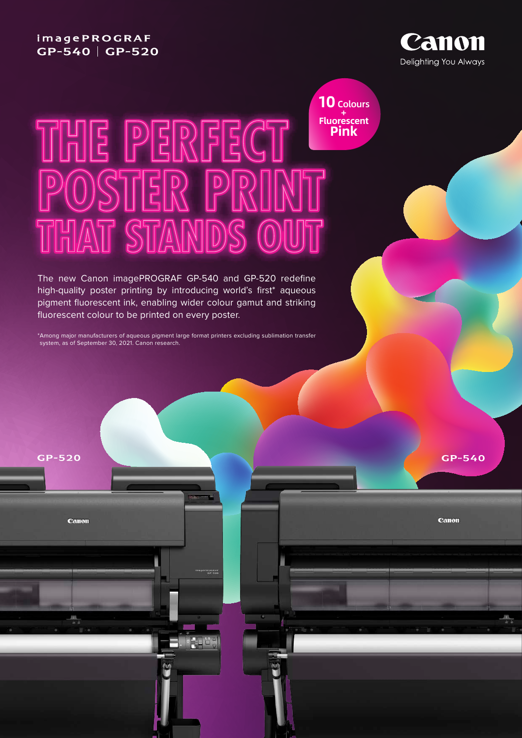## **imagePROGRAF** GP-540 | GP-520

GP-520

Canon



**10** Colours + **Fluorescent Pink**

# THE PERFECT OSTER P AT STAND

The new Canon imagePROGRAF GP-540 and GP-520 redefine high-quality poster printing by introducing world's first\* aqueous pigment fluorescent ink, enabling wider colour gamut and striking fluorescent colour to be printed on every poster.

\*Among major manufacturers of aqueous pigment large format printers excluding sublimation transfer system, as of September 30, 2021. Canon research.

GP-540

Canon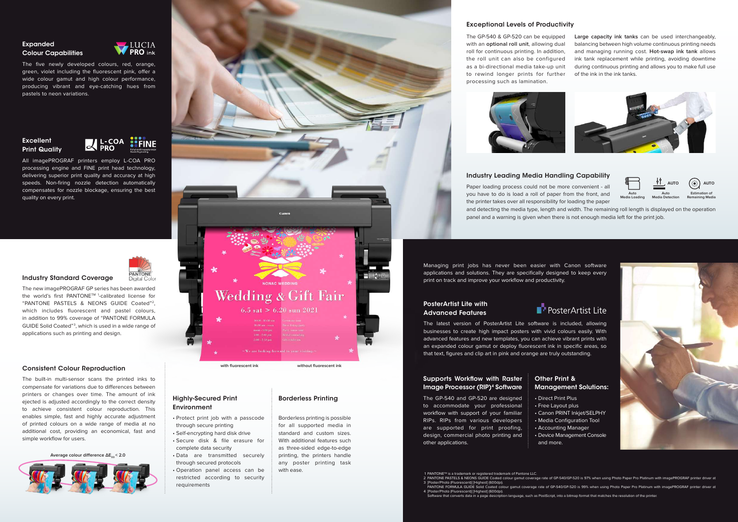#### Expanded Colour Capabilities



The five newly developed colours, red, orange, green, violet including the fluorescent pink, offer a wide colour gamut and high colour performance, producing vibrant and eye-catching hues from pastels to neon variations.

#### **Excellent Print Quality**



All imagePROGRAF printers employ L-COA PRO processing engine and FINE print head technology, delivering superior print quality and accuracy at high speeds. Non-firing nozzle detection automatically compensates for nozzle blockage, ensuring the best quality on every print.



#### Industry Standard Coverage

The new imagePROGRAF GP series has been awarded the world's first PANTONE™<sup>1</sup>-calibrated license for "PANTONE PASTELS & NEONS GUIDE Coated"2, which includes fluorescent and pastel colours, in addition to 99% coverage of "PANTONE FORMULA GUIDE Solid Coated"3 , which is used in a wide range of applications such as printing and design.

#### Consistent Colour Reproduction

#### Supports Workflow with Raster Image Processor (RIP)<sup>4</sup> Software

The built-in multi-sensor scans the printed inks to compensate for variations due to differences between printers or changes over time. The amount of ink ejected is adjusted accordingly to the correct density to achieve consistent colour reproduction. This enables simple, fast and highly accurate adjustment of printed colours on a wide range of media at no additional cost, providing an economical, fast and simple workflow for users.

**Average colour difference ΔΕ<sub>00</sub> < 2.0** 



#### Exceptional Levels of Productivity

#### Industry Leading Media Handling Capability

1 PANTONE™ is a trademark or registered trademark of Pantone LLC.<br>2 PANTONE PASTELS & NEONS GUIDE Coated colour gamut coverage rate of GP-540/GP-520 is 97% when using Photo Paper Pro Platinum with imagePROGRAF printer dri PANTONE FORMULA GUIDE Solid Coated colour gamut coverage rate of GP-540/GP-520 is 99% when using Photo Paper Pro Platinum with imagePROGRAF printer driver at [Poster/Photo (Fluorescent)] [Highest] (600dpi). Software that converts data in a page description language, such as PostScript, into a bitmap format that matches the resolution of the printer. 3 4

Managing print jobs has never been easier with Canon software applications and solutions. They are specifically designed to keep every print on track and improve your workflow and productivity.

#### PosterArtist Lite with Advanced Features

The latest version of PosterArtist Lite software is included, allowing businesses to create high impact posters with vivid colours easily. With advanced features and new templates, you can achieve vibrant prints with an expanded colour gamut or deploy fluorescent ink in specific areas, so that text, figures and clip art in pink and orange are truly outstanding.

The GP-540 and GP-520 are designed to accommodate your professional workflow with support of your familiar RIPs. RIPs from various developers are supported for print proofing, design, commercial photo printing and other applications.

### Other Print & Management Solutions:

• Direct Print Plus • Free Layout plus • Canon PRINT Inkjet/SELPHY • Media Configuration Tool • Accounting Manager • Device Management Console



- 
- 
- 
- and more.
- 
- [Poster/Photo (Fluorescent)] [Highest] (600dpi).
- 

Paper loading process could not be more convenient - all you have to do is load a roll of paper from the front, and the printer takes over all responsibility for loading the paper and detecting the media type, length and width. The remaining roll length is displayed on the operation panel and a warning is given when there is not enough media left for the print job. **Auto Media Loading AUTO Auto Media Detection Estimation of Remaining Media**

#### Highly-Secured Print Environment

- Protect print job with a passcode through secure printing
- Self-encrypting hard disk drive • Secure disk & file erasure for complete data security
- Data are transmitted securely through secured protocols
- Operation panel access can be restricted according to security requirements

#### Borderless Printing

Borderless printing is possible for all supported media in standard and custom sizes. With additional features such as three-sided edge-to-edge printing, the printers handle any poster printing task with ease.



The GP-540 & GP-520 can be equipped with an **optional roll unit**, allowing dual roll for continuous printing. In addition, the roll unit can also be configured as a bi-directional media take-up unit to rewind longer prints for further processing such as lamination.



**Large capacity ink tanks** can be used interchangeably, balancing between high volume continuous printing needs and managing running cost. **Hot-swap ink tank** allows ink tank replacement while printing, avoiding downtime during continuous printing and allows you to make full use of the ink in the ink tanks.







# PosterArtist Lite